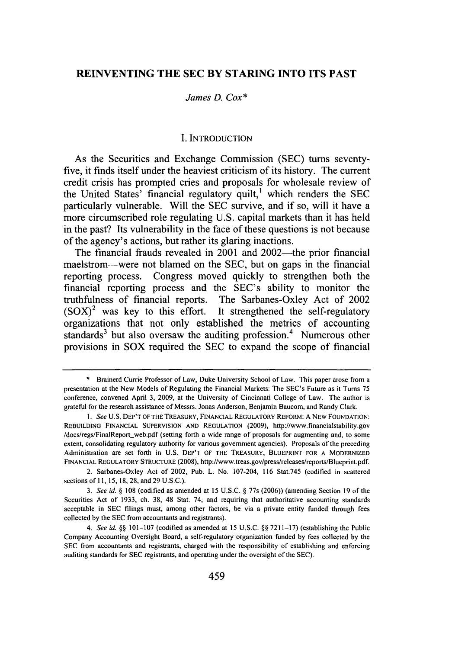# **REINVENTING THE SEC BY STARING INTO ITS PAST**

### *James D. Cox\**

# **I. INTRODUCTION**

As the Securities and Exchange Commission **(SEC)** turns seventyfive, it finds itself under the heaviest criticism of its history. The current credit crisis has prompted cries and proposals for wholesale review of the United States' financial regulatory quilt,' which renders the **SEC** particularly vulnerable. Will the **SEC** survive, and if so, will it have a more circumscribed role regulating **U.S.** capital markets than it has held in the past? Its vulnerability in the face of these questions is not because of the agency's actions, but rather its glaring inactions.

The financial frauds revealed in 2001 and 2002—the prior financial maelstrom-were not blamed on the **SEC,** but on gaps in the financial reporting process. Congress moved quickly to strengthen both the financial reporting process and the SEC's ability to monitor the truthfulness of financial reports. The Sarbanes-Oxley Act of 2002  $(SOX)^2$  was key to this effort. It strengthened the self-regulatory organizations that not only established the metrics of accounting standards<sup>3</sup> but also oversaw the auditing profession.<sup>4</sup> Numerous other provisions in SOX required the **SEC** to expand the scope of financial

**<sup>\*</sup>** Brainerd **Currie** Professor of Law, Duke University School of Law. This paper arose from a presentation at the New Models of Regulating the Financial Markets: The SEC's Future as it Turns **75** conference, convened April **3, 2009,** at the University of Cincinnati College of Law. The author is grateful for the research assistance of Messrs. Jonas Anderson, Benjamin Baucom, and Randy Clark.

*<sup>1.</sup> See* **U.S.** DEP'T OF THE TREASURY, **FINANCIAL REGULATORY** REFORM: **A** NEW **FOUNDATION: REBUILDING** FINANCIAL **SUPERVISION AND REGULATION (2009),** http://www.financialstability.gov /docs/regs/FinalReport web.pdf (setting forth a wide range of proposals for augmenting and, to some extent, consolidating regulatory authority for various government agencies). Proposals of the preceding Administration are set forth in **U.S.** DEP'T OF THE TREASURY, BLUEPRINT FOR **A** MODERNIZED **FINANCIAL** REGULATORY **STRUCTURE (2008),** http://www.treas.gov/press/releases/reports/Blueprint.pdf.

<sup>2.</sup> Sarbanes-Oxley Act of 2002, Pub. L. No. 107-204, **116** Stat.745 (codified in scattered sections of **11, 15, 18, 28,** and **29 U.S.C.).**

*<sup>3.</sup> See id. §* **108** (codified as amended at **15 U.S.C. §** 77s **(2006))** (amending Section **19** of the Securities Act of **1933,** ch. **38,** 48 Stat. 74, and requiring that authoritative accounting standards acceptable in **SEC** filings must, among other factors, be via a private entity funded through fees collected **by** the **SEC** from accountants and registrants).

*<sup>4.</sup> See id. §§* **101-107** (codified as amended at **15 U.S.C. §§ 7211-17)** (establishing the Public Company Accounting Oversight Board, a self-regulatory organization funded **by** fees collected **by** the **SEC** from accountants and registrants, charged with the responsibility of establishing and enforcing auditing standards for **SEC** registrants, and operating under the oversight of the **SEC).**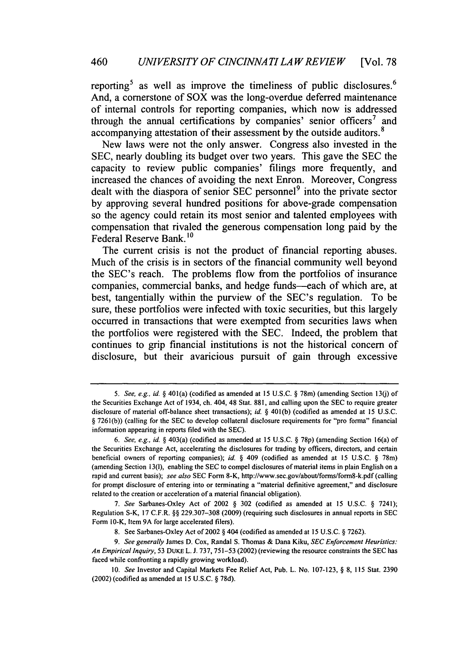reporting<sup>5</sup> as well as improve the timeliness of public disclosures.<sup>6</sup> And, a cornerstone of SOX was the long-overdue deferred maintenance of internal controls for reporting companies, which now is addressed through the annual certifications by companies' senior officers<sup>7</sup> and accompanying attestation of their assessment **by** the outside auditors.<sup>8</sup>

New laws were not the only answer. Congress also invested in the **SEC,** nearly doubling its budget over two years. This gave the **SEC** the capacity to review public companies' filings more frequently, and increased the chances of avoiding the next Enron. Moreover, Congress dealt with the diaspora of senior **SEC** personnel<sup>9</sup> into the private sector **by** approving several hundred positions for above-grade compensation so the agency could retain its most senior and talented employees with compensation that rivaled the generous compensation long paid **by** the Federal Reserve Bank. **1 0**

The current crisis is not the product of financial reporting abuses. Much of the crisis is in sectors of the financial community well beyond the SEC's reach. The problems flow from the portfolios of insurance companies, commercial banks, and hedge funds--each of which are, at best, tangentially within the purview of the SEC's regulation. To be sure, these portfolios were infected with toxic securities, but this largely occurred in transactions that were exempted from securities laws when the portfolios were registered with the **SEC.** Indeed, the problem that continues to grip financial institutions is not the historical concern of disclosure, but their avaricious pursuit of gain through excessive

*<sup>5.</sup>* See, e.g., id. *§* 401(a) (codified as amended at **15 U.S.C. §** 78m) (amending Section **13(j)** of the Securities Exchange Act of 1934, ch. 404, 48 Stat. **881,** and calling upon the **SEC** to require greater disclosure of material off-balance sheet transactions); *id. §* **401(b)** (codified as amended at **15 U.S.C. § 7261(b))** (calling for the **SEC** to develop collateral disclosure requirements for "pro forma" financial information appearing in reports filed with the **SEC).**

*<sup>6.</sup> See, e.g., id. §* 403(a) (codified as amended at **15 U.S.C. § 78p)** (amending Section 16(a) of the Securities Exchange Act, accelerating the disclosures for trading **by** officers, directors, and certain beneficial owners of reporting companies); *id. §* 409 (codified as amended at **15 U.S.C. §** 78m) (amending Section **13(1),** enabling the **SEC** to compel disclosures of material items in plain English on a rapid and current basis); *see also* **SEC** Form 8-K, http://www.sec.gov/about/forms/form8-k.pdf (calling for prompt disclosure of entering into or terminating a "material definitive agreement," and disclosure related to the creation or acceleration of a material financial obligation).

*<sup>7.</sup>* See Sarbanes-Oxley Act of 2002 **§ 302** (codified as amended at **15 U.S.C. §** 7241); Regulation S-K, **17** C.F.R. **§§ 229.307-308 (2009)** (requiring such disclosures in annual reports in **SEC** Form 10-K, Item **9A** for large accelerated filers).

**<sup>8.</sup>** See Sarbanes-Oxley Act of 2002 **§** 404 (codified as amended at **15 U.S.C. § 7262).**

*<sup>9.</sup> See generally* James **D.** Cox, Randal **S.** Thomas **&** Dana Kiku, **SEC** Enforcement *Heuristics: An Empirical Inquiry,* **53 DUKE** L. **J. 737, 751-53** (2002) (reviewing the resource constraints the **SEC** has faced while confronting a rapidly growing workload).

**<sup>10.</sup>** *See* Investor and Capital Markets Fee Relief Act, Pub. L. No. **107-123, § 8, 115** Stat. **2390** (2002) (codified as amended at **15 U.S.C. § 78d).**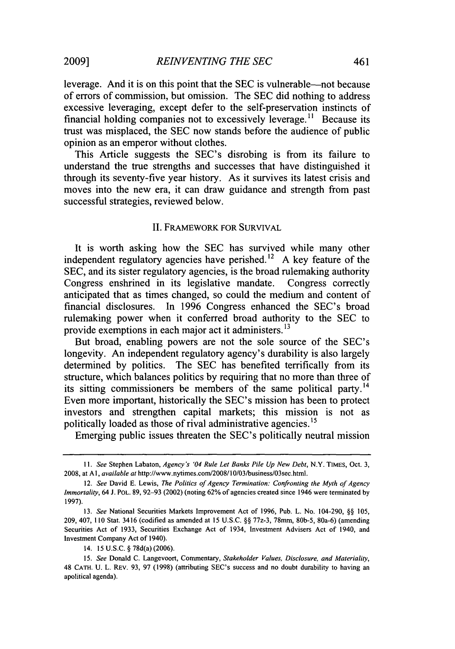leverage. And it is on this point that the SEC is vulnerable—not because of errors of commission, but omission. The SEC did nothing to address excessive leveraging, except defer to the self-preservation instincts of financial holding companies not to excessively leverage.<sup>11</sup> Because its trust was misplaced, the SEC now stands before the audience of public opinion as an emperor without clothes.

This Article suggests the SEC's disrobing is from its failure to understand the true strengths and successes that have distinguished it through its seventy-five year history. As it survives its latest crisis and moves into the new era, it can draw guidance and strength from past successful strategies, reviewed below.

### II. FRAMEWORK FOR SURVIVAL

It is worth asking how the SEC has survived while many other independent regulatory agencies have perished.<sup>12</sup> A key feature of the SEC, and its sister regulatory agencies, is the broad rulemaking authority Congress enshrined in its legislative mandate. Congress correctly anticipated that as times changed, so could the medium and content of financial disclosures. In 1996 Congress enhanced the SEC's broad rulemaking power when it conferred broad authority to the SEC to provide exemptions in each major act it administers.<sup>13</sup>

But broad, enabling powers are not the sole source of the SEC's longevity. An independent regulatory agency's durability is also largely determined by politics. The SEC has benefited terrifically from its structure, which balances politics by requiring that no more than three of its sitting commissioners be members of the same political party.<sup>14</sup> Even more important, historically the SEC's mission has been to protect investors and strengthen capital markets; this mission is not as politically loaded as those of rival administrative agencies.<sup>15</sup>

Emerging public issues threaten the SEC's politically neutral mission

14. 15 U.S.C. § 78d(a) (2006).

*15. See* Donald C. Langevoort, Commentary, *Stakeholder Values, Disclosure, and Materiality,* 48 **CATH.** U. L. REV. 93, 97 (1998) (attributing SEC's success and no doubt durability to having an apolitical agenda).

*<sup>11.</sup> See* Stephen Labaton, *Agency's '04 Rule Let Banks Pile Up New Debt,* N.Y. TIMES, Oct. 3, 2008, at **Al,** *available at* http://www.nytimes.com/2008/l0/03/business/03sec.html.

<sup>12.</sup> *See* David E. Lewis, *The Politics of Agency Termination: Confronting the Myth of Agency Immortality,* 64 J. POL. 89, 92-93 (2002) (noting 62% of agencies created since 1946 were terminated by 1997).

**<sup>13.</sup>** *See* National Securities Markets Improvement Act of 1996, Pub. L. No. 104-290, §§ 105, 209, 407, 110 Stat. 3416 (codified as amended at 15 U.S.C. §§ 77z-3, 78mm, 80b-5, 80a-6) (amending Securities Act of 1933, Securities Exchange Act of 1934, Investment Advisers Act of 1940, and Investment Company Act of 1940).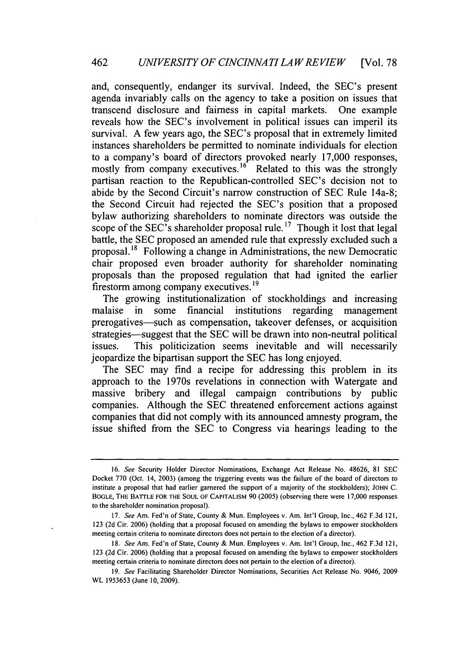and, consequently, endanger its survival. Indeed, the SEC's present agenda invariably calls on the agency to take a position on issues that transcend disclosure and fairness in capital markets. One example reveals how the SEC's involvement in political issues can imperil its survival. A few years ago, the SEC's proposal that in extremely limited instances shareholders be permitted to nominate individuals for election to a company's board of directors provoked nearly 17,000 responses, mostly from company executives.<sup>16</sup> Related to this was the strongly partisan reaction to the Republican-controlled SEC's decision not to abide by the Second Circuit's narrow construction of SEC Rule 14a-8; the Second Circuit had rejected the SEC's position that a proposed bylaw authorizing shareholders to nominate directors was outside the scope of the SEC's shareholder proposal rule. **1 <sup>7</sup>**Though it lost that legal battle, the SEC proposed an amended rule that expressly excluded such a proposal.<sup>18</sup> Following a change in Administrations, the new Democratic chair proposed even broader authority for shareholder nominating proposals than the proposed regulation that had ignited the earlier firestorm among company executives. **19**

The growing institutionalization of stockholdings and increasing malaise in some financial institutions regarding management prerogatives—such as compensation, takeover defenses, or acquisition strategies-suggest that the SEC will be drawn into non-neutral political issues. This politicization seems inevitable and will necessarily jeopardize the bipartisan support the SEC has long enjoyed.

The SEC may find a recipe for addressing this problem in its approach to the 1970s revelations in connection with Watergate and massive bribery and illegal campaign contributions by public companies. Although the SEC threatened enforcement actions against companies that did not comply with its announced amnesty program, the issue shifted from the SEC to Congress via hearings leading to the

<sup>16.</sup> See Security Holder Director Nominations, Exchange Act Release No. 48626, 81 SEC Docket 770 (Oct. 14, 2003) (among the triggering events was the failure of the board of directors to institute a proposal that had earlier garnered the support of a majority of the stockholders); **JOHN** C. **BOGLE,** THE BATTLE FOR **THE SOUL** OF **CAPITALISM** 90 (2005) (observing there were 17,000 responses to the shareholder nomination proposal).

<sup>17.</sup> See Am. Fed'n of State, County & Mun. Employees v. Am. Int'l Group, Inc., 462 F.3d 121, 123 (2d Cir. 2006) (holding that a proposal focused on amending the bylaws to empower stockholders meeting certain criteria to nominate directors does not pertain to the election of a director).

<sup>18.</sup> See Am. Fed'n of State, County & Mun. Employees v. Am. Int'l Group, Inc., 462 F.3d 121, 123 (2d Cir. 2006) (holding that a proposal focused on amending the bylaws to empower stockholders meeting certain criteria to nominate directors does not pertain to the election of a director).

*<sup>19.</sup>* See Facilitating Shareholder Director Nominations, Securities Act Release No. 9046, 2009 WL 1953653 (June 10, 2009).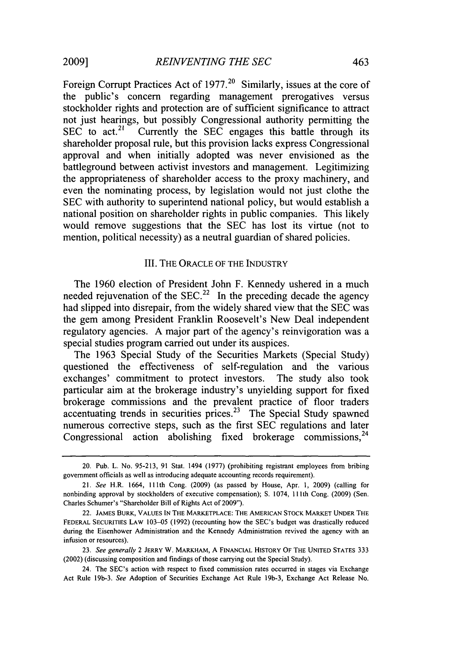Foreign Corrupt Practices Act of 1977.<sup>20</sup> Similarly, issues at the core of the public's concern regarding management prerogatives versus stockholder rights and protection are of sufficient significance to attract not just hearings, but possibly Congressional authority permitting the  $\sum_{n=1}^{\infty}$  sEC to act.<sup>21</sup> Currently the SEC engages this battle through its shareholder proposal rule, but this provision lacks express Congressional approval and when initially adopted was never envisioned as the battleground between activist investors and management. Legitimizing the appropriateness of shareholder access to the proxy machinery, and even the nominating process, by legislation would not just clothe the SEC with authority to superintend national policy, but would establish a national position on shareholder rights in public companies. This likely would remove suggestions that the SEC has lost its virtue (not to mention, political necessity) as a neutral guardian of shared policies.

# III. THE ORACLE OF THE INDUSTRY

The 1960 election of President John F. Kennedy ushered in a much needed rejuvenation of the SEC.<sup>22</sup> In the preceding decade the agency had slipped into disrepair, from the widely shared view that the SEC was the gem among President Franklin Roosevelt's New Deal independent regulatory agencies. A major part of the agency's reinvigoration was a special studies program carried out under its auspices.

The 1963 Special Study of the Securities Markets (Special Study) questioned the effectiveness of self-regulation and the various exchanges' commitment to protect investors. The study also took particular aim at the brokerage industry's unyielding support for fixed brokerage commissions and the prevalent practice of floor traders accentuating trends in securities prices. 23 The Special Study spawned numerous corrective steps, such as the first SEC regulations and later Congressional action abolishing fixed brokerage commissions.<sup>24</sup>

<sup>20.</sup> Pub. L. No. 95-213, 91 Stat. 1494 (1977) (prohibiting registrant employees from bribing government officials as well as introducing adequate accounting records requirement).

<sup>21.</sup> See H.R. 1664, 111th Cong. (2009) (as passed by House, Apr. 1, 2009) (calling for nonbinding approval by stockholders of executive compensation); **S.** 1074, **111** th Cong. (2009) (Sen. Charles Schumer's "Shareholder Bill of Rights Act of 2009").

<sup>22.</sup> JAMES BURK, **VALUES IN THE** MARKETPLACE: **THE** AMERICAN STOCK MARKET **UNDER** THE **FEDERAL SECURITIES** LAW 103-05 (1992) (recounting how the SEC's budget was drastically reduced during the Eisenhower Administration and the Kennedy Administration revived the agency with an infusion or resources).

<sup>23.</sup> See generally 2 JERRY W. MARKHAM, A FINANCIAL HISTORY OF THE **UNITED** STATES 333 (2002) (discussing composition and findings of those carrying out the Special Study).

<sup>24.</sup> The SEC's action with respect to fixed commission rates occurred in stages via Exchange Act Rule 19b-3. See Adoption of Securities Exchange Act Rule 19b-3, Exchange Act Release No.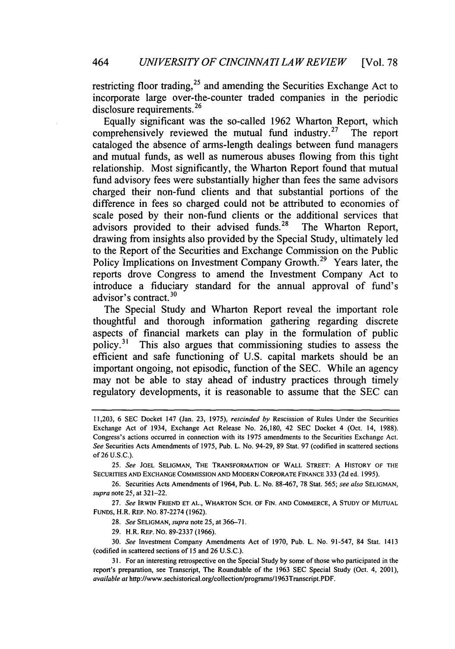restricting floor trading,  $^{25}$  and amending the Securities Exchange Act to incorporate large over-the-counter traded companies in the periodic disclosure requirements.<sup>26</sup>

Equally significant was the so-called 1962 Wharton Report, which comprehensively reviewed the mutual fund industry.<sup>27</sup> The report cataloged the absence of arms-length dealings between fund managers and mutual funds, as well as numerous abuses flowing from this tight relationship. Most significantly, the Wharton Report found that mutual fund advisory fees were substantially higher than fees the same advisors charged their non-fund clients and that substantial portions of the difference in fees so charged could not be attributed to economies of scale posed by their non-fund clients or the additional services that advisors provided to their advised funds.<sup>28</sup> The Wharton Report, drawing from insights also provided by the Special Study, ultimately led to the Report of the Securities and Exchange Commission on the Public Policy Implications on Investment Company Growth.<sup>29</sup> Years later, the reports drove Congress to amend the Investment Company Act to introduce a fiduciary standard for the annual approval of fund's advisor's contract.<sup>30</sup>

The Special Study and Wharton Report reveal the important role thoughtful and thorough information gathering regarding discrete aspects of financial markets can play in the formulation of public policy.31 This also argues that commissioning studies to assess the efficient and safe functioning of U.S. capital markets should be an important ongoing, not episodic, function of the SEC. While an agency may not be able to stay ahead of industry practices through timely regulatory developments, it is reasonable to assume that the SEC can

29. H.R. REP. NO. 89-2337 (1966).

<sup>11,203, 6</sup> SEC Docket 147 (Jan. 23, 1975), *rescinded by* Rescission of Rules Under the Securities Exchange Act of 1934, Exchange Act Release No. 26,180, 42 SEC Docket 4 (Oct. 14, 1988). Congress's actions occurred in connection with its 1975 amendments to **the** Securities Exchange Act. *See* Securities Acts Amendments of 1975, Pub. L. No. 94-29, 89 Stat. 97 (codified in scattered sections of 26 U.S.C.).

<sup>25.</sup> *See* **JOEL SELIGMAN,** THE TRANSFORMATION OF WALL STREET: **A** HISTORY OF THE **SECURITIES AND EXCHANGE COMMISSION AND** MODERN CORPORATE **FINANCE** 333 (2d ed. 1995).

<sup>26.</sup> Securities Acts Amendments of 1964, Pub. L. No. 88-467, 78 Stat. 565; *see also* **SELIGMAN,** *supra* note 25, at 321-22.

<sup>27.</sup> *See* IRwN FRIEND **ET AL.,** WHARTON SCH. OF FIN. **AND** COMMERCE, A STUDY OF MUTUAL FUNDS, H.R. REP. No. 87-2274 (1962).

<sup>28.</sup> *See* SELIGMAN, *supra* note *25,* at 366-71.

<sup>30.</sup> *See* Investment Company Amendments Act of 1970, Pub. L. No. 91-547, 84 Stat. 1413 (codified in scattered sections of 15 and 26 U.S.C.).

<sup>31.</sup> For an interesting retrospective on the Special Study by some of those who participated in the report's preparation, see Transcript, The Roundtable of the 1963 SEC Special Study (Oct. 4, 2001), *available at* http://www.sechistorical.org/collection/programs/1963Transcript.PDF.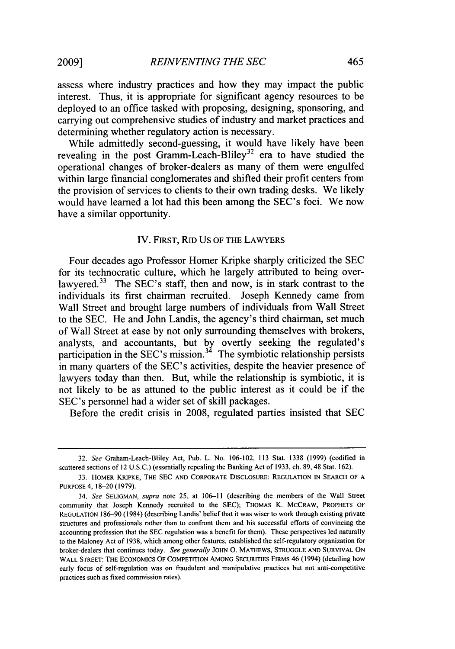assess where industry practices and how they may impact the public interest. Thus, it is appropriate for significant agency resources to be deployed to an office tasked with proposing, designing, sponsoring, and carrying out comprehensive studies of industry and market practices and determining whether regulatory action is necessary.

While admittedly second-guessing, it would have likely have been revealing in the post Gramm-Leach-Bliley<sup>32</sup> era to have studied the operational changes of broker-dealers as many of them were engulfed within large financial conglomerates and shifted their profit centers from the provision of services to clients to their own trading desks. We likely would have learned a lot had this been among the SEC's foci. We now have a similar opportunity.

# IV. FIRST, RID US OF THE LAWYERS

Four decades ago Professor Homer Kripke sharply criticized the **SEC** for its technocratic culture, which he largely attributed to being overlawyered.<sup>33</sup> The SEC's staff, then and now, is in stark contrast to the individuals its first chairman recruited. Joseph Kennedy came from Wall Street and brought large numbers of individuals from Wall Street to the **SEC.** He and John Landis, the agency's third chairman, set much of Wall Street at ease **by** not only surrounding themselves with brokers, analysts, and accountants, but by overtly seeking the regulated' participation in the SEC's mission.<sup>34</sup> The symbiotic relationship persists in many quarters of the **SEC's** activities, despite the heavier presence of lawyers today than then. But, while the relationship is symbiotic, it is not likely to be as attuned to the public interest as it could be if the SEC's personnel had a wider set of skill packages.

Before the credit crisis in **2008,** regulated parties insisted that **SEC**

<sup>32.</sup> *See* Graham-Leach-Bliley Act, Pub. L. No. 106-102, 113 Stat. 1338 (1999) (codified in scattered sections of 12 U.S.C.) (essentially repealing the Banking Act of **1933,** ch. 89,48 Stat. 162).

<sup>33.</sup> HOMER KRIPKE, THE SEC **AND** CORPORATE **DISCLOSURE:** REGULATION IN SEARCH **OF A** PURPOSE 4, 18-20 (1979).

<sup>34.</sup> *See* SELIGMAN, *supra* note **25,** at **106-11** (describing the members of the Wall Street community that Joseph Kennedy recruited to the SEC); THOMAS K. MCCRAw, PROPHETS OF **REGULATION 186-90** (1984) (describing Landis' belief that **it** was wiser to work through existing private structures and professionals rather than **to** confront them and his successful efforts of convincing the accounting profession that the **SEC** regulation was a benefit for them). These perspectives led naturally to the Maloney Act of **1938,** which among other features, established the self-regulatory organization for broker-dealers that continues today. *See generally* **JOHN 0.** MATHEWS, **STRUGGLE AND** SURVIVAL **ON** WALL STREET: THE ECONOMICS OF COMPETITION AMONG SECURITIES FIRMS 46 (1994) (detailing how early focus of self-regulation was on fraudulent and manipulative practices but not anti-competitive practices such as fixed commission rates).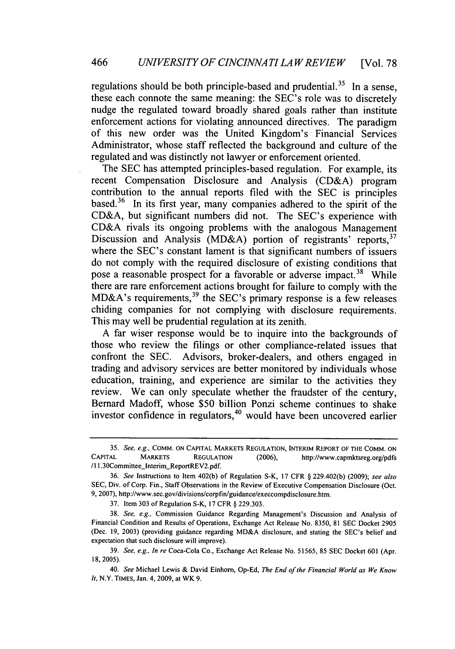regulations should be both principle-based and prudential.<sup>35</sup> In a sense, these each connote the same meaning: the SEC's role was to discretely nudge the regulated toward broadly shared goals rather than institute enforcement actions for violating announced directives. The paradigm of this new order was the United Kingdom's Financial Services Administrator, whose staff reflected the background and culture of the regulated and was distinctly not lawyer or enforcement oriented.

The SEC has attempted principles-based regulation. For example, its recent Compensation Disclosure and Analysis (CD&A) program contribution to the annual reports filed with the SEC is principles based.<sup>36</sup> In its first year, many companies adhered to the spirit of the CD&A, but significant numbers did not. The SEC's experience with CD&A rivals its ongoing problems with the analogous Management Discussion and Analysis (MD&A) portion of registrants' reports, <sup>37</sup> where the SEC's constant lament is that significant numbers of issuers do not comply with the required disclosure of existing conditions that pose a reasonable prospect for a favorable or adverse impact.<sup>38</sup> While there are rare enforcement actions brought for failure to comply with the  $MD&A$ 's requirements, <sup>39</sup> the SEC's primary response is a few releases chiding companies for not complying with disclosure requirements. This may well be prudential regulation at its zenith.

A far wiser response would be to inquire into the backgrounds of those who review the filings or other compliance-related issues that confront the SEC. Advisors, broker-dealers, and others engaged in trading and advisory services are better monitored by individuals whose education, training, and experience are similar to the activities they review. We can only speculate whether the fraudster of the century, Bernard Madoff, whose \$50 billion Ponzi scheme continues to shake investor confidence in regulators,<sup>40</sup> would have been uncovered earlier

*<sup>35.</sup> See, e.g.,* COMM. **ON CAPITAL** MARKETS REGULATION, INTERIM **REPORT** OF THE **COMM. ON** CAPITAL MARKETS **REGULATION** (2006), http://www.capmktsreg.org/pdfs /11.30Committee\_Interim\_ReportREV2.pdf.

<sup>36.</sup> *See* Instructions to Item 402(b) of Regulation S-K, 17 CFR § 229.402(b) (2009); *see also* SEC, Div. of Corp. Fin., Staff Observations in the Review of Executive Compensation Disclosure (Oct. 9, 2007), http://www.sec.gov/divisions/corpfin/guidance/execcompdisclosure.htm.

<sup>37.</sup> Item 303 of Regulation S-K, 17 CFR § 229.303.

<sup>38.</sup> *See, e.g.,* Commission Guidance Regarding Management's Discussion and Analysis of Financial Condition and Results of Operations, Exchange Act Release No. 8350, 81 SEC Docket 2905 (Dec. 19, 2003) (providing guidance regarding MD&A disclosure, and stating the SEC's belief and expectation that such disclosure will improve).

<sup>39.</sup> *See, e.g., In re* Coca-Cola Co., Exchange Act Release No. 51565, 85 SEC Docket 601 (Apr. 18, 2005).

<sup>40.</sup> *See* Michael Lewis **&** David Einhorn, Op-Ed, *The End of the Financial World as We Know It,* N.Y. TIMES, Jan. 4, 2009, at WK 9.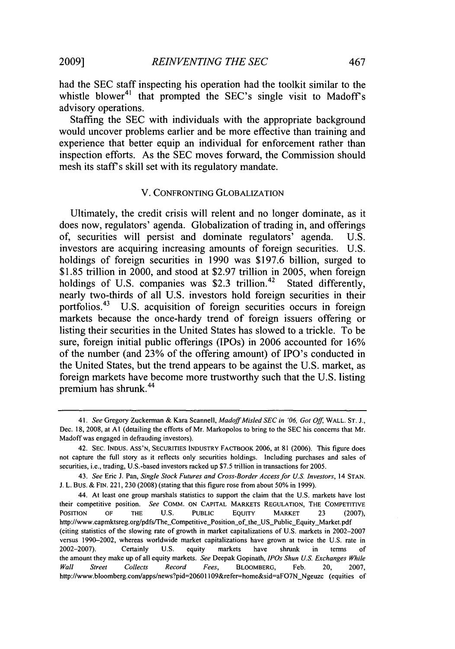had the SEC staff inspecting his operation had the toolkit similar to the whistle blower<sup>41</sup> that prompted the SEC's single visit to Madoff's advisory operations.

Staffing the SEC with individuals with the appropriate background would uncover problems earlier and be more effective than training and experience that better equip an individual for enforcement rather than inspection efforts. As the SEC moves forward, the Commission should mesh its staff's skill set with its regulatory mandate.

### V. CONFRONTING GLOBALIZATION

Ultimately, the credit crisis will relent and no longer dominate, as it does now, regulators' agenda. Globalization of trading in, and offerings of, securities will persist and dominate regulators' agenda. U.S. investors are acquiring increasing amounts of foreign securities. U.S. holdings of foreign securities in 1990 was \$197.6 billion, surged to \$1.85 trillion in 2000, and stood at \$2.97 trillion in 2005, when foreign holdings of U.S. companies was \$2.3 trillion.<sup>42</sup> Stated differently, nearly two-thirds of all U.S. investors hold foreign securities in their portfolios.<sup>43</sup> U.S. acquisition of foreign securities occurs in foreign markets because the once-hardy trend of foreign issuers offering or listing their securities in the United States has slowed to a trickle. To be sure, foreign initial public offerings (IPOs) in 2006 accounted for 16% of the number (and 23% of the offering amount) of IPO's conducted in the United States, but the trend appears to be against the U.S. market, as foreign markets have become more trustworthy such that the U.S. listing premium has shrunk. <sup>4</sup>

**<sup>41.</sup>** *See* Gregory Zuckerman & Kara Scannell, *MadoffMisled SEC in '06, Got Off,* WALL. **ST.** J., Dec. 18, 2008, at **AI** (detailing the efforts of Mr. Markopolos to bring to the **SEC** his concerns that Mr. Madoff was engaged in defrauding investors).

<sup>42.</sup> **SEC. INDUS.** ASS'N, **SECURITIES** INDUSTRY FACTBOOK 2006, at 81 (2006). This figure does not capture the full story as it reflects only securities holdings. Including purchases and sales of securities, i.e., trading, U.S.-based investors racked up \$7.5 trillion in transactions for 2005.

*<sup>43.</sup> See* Eric J. Pan, *Single Stock Futures and Cross-Border Access for U.S. Investors,* 14 **STAN. J.** L. BUS. & FIN. 221, 230 (2008) (stating that this figure rose from about 50% in 1999).

<sup>44.</sup> At least one group marshals statistics to support the claim that the U.S. markets have lost their competitive position. *See* COMM. **ON** CAPITAL MARKETS REGULATION, THE COMPETITIVE POSITION OF THE **U.S.** PUBLIC **EQUITY** MARKET **23** (2007), http://www.capmktsreg.org/pdfs/The\_Competitive\_Position\_of\_the\_US\_Public\_Equity\_Market.pdf (citing statistics of the slowing rate of growth in market capitalizations of U.S. markets in 2002-2007 versus 1990-2002, whereas worldwide market capitalizations have grown at twice the U.S. rate in 2002-2007). Certainly U.S. equity markets have shrunk in terms of the amount they make up of all equity markets. *See* Deepak Gopinath, *IPOs Shun U.S.* Exchanges *While Wall Street Collects Record Fees,* BLOOMBERG, Feb. 20, **2007,** http://www.bloomberg.com/apps/news?pid=20601109&refer=home&sid=aFO7N Ngeuzc (equities of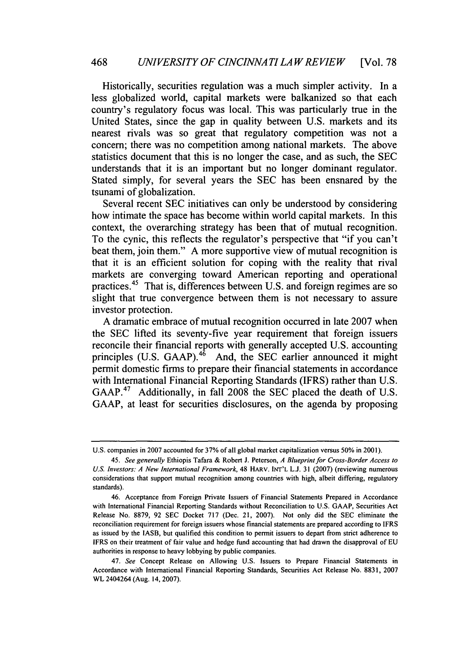Historically, securities regulation was a much simpler activity. In a less globalized world, capital markets were balkanized so that each country's regulatory focus was local. This was particularly true in the United States, since the gap in quality between U.S. markets and its nearest rivals was so great that regulatory competition was not a concern; there was no competition among national markets. The above statistics document that this is no longer the case, and as such, the SEC understands that it is an important but no longer dominant regulator. Stated simply, for several years the SEC has been ensnared by the tsunami of globalization.

Several recent SEC initiatives can only be understood by considering how intimate the space has become within world capital markets. In this context, the overarching strategy has been that of mutual recognition. To the cynic, this reflects the regulator's perspective that "if you can't beat them, join them." A more supportive view of mutual recognition is that it is an efficient solution for coping with the reality that rival markets are converging toward American reporting and operational practices.45 That is, differences between U.S. and foreign regimes are so slight that true convergence between them is not necessary to assure investor protection.

A dramatic embrace of mutual recognition occurred in late 2007 when the SEC lifted its seventy-five year requirement that foreign issuers reconcile their financial reports with generally accepted U.S. accounting principles (U.S. GAAP).<sup>46</sup> And, the SEC earlier announced it might permit domestic firms to prepare their financial statements in accordance with International Financial Reporting Standards (IFRS) rather than U.S. GAAP.47 Additionally, in fall 2008 the SEC placed the death of U.S. GAAP, at least for securities disclosures, on the agenda by proposing

U.S. companies in 2007 accounted for 37% of all global market capitalization versus 50% in 2001).

*<sup>45.</sup> See generally* Ethiopis Tafara & Robert J. Peterson, *A Blueprint for Cross-Border Access to U.S. Investors: A New International Framework,* 48 HARV. INT'L L.J. 31 (2007) (reviewing numerous considerations that support mutual recognition among countries with high, albeit differing, regulatory standards).

<sup>46.</sup> Acceptance from Foreign Private Issuers of Financial Statements Prepared in Accordance with International Financial Reporting Standards without Reconciliation to U.S. GAAP, Securities Act Release No. 8879, 92 SEC Docket 717 (Dec. 21, 2007). Not only did the SEC eliminate the reconciliation requirement for foreign issuers whose financial statements are prepared according to IFRS as issued by the IASB, but qualified this condition to permit issuers to depart from strict adherence to IFRS on their treatment of fair value and hedge fund accounting that had drawn the disapproval of EU authorities in response to heavy lobbying by public companies.

<sup>47.</sup> *See* Concept Release on Allowing U.S. Issuers to Prepare Financial Statements in Accordance with International Financial Reporting Standards, Securities Act Release No. 8831, 2007 WL 2404264 (Aug. 14, 2007).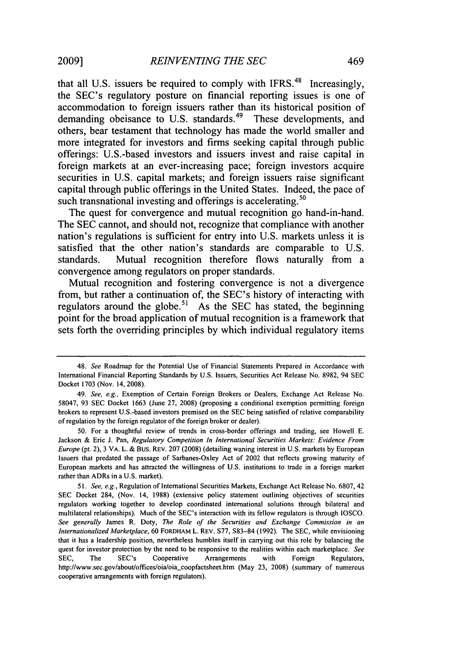that all U.S. issuers be required to comply with IFRS.<sup>48</sup> Increasingly, the SEC's regulatory posture on financial reporting issues is one of accommodation to foreign issuers rather than its historical position of demanding obeisance to U.S. standards.<sup>49</sup> These developments, and others, bear testament that technology has made the world smaller and more integrated for investors and firms seeking capital through public offerings: U.S.-based investors and issuers invest and raise capital in foreign markets at an ever-increasing pace; foreign investors acquire securities in **U.S.** capital markets; and foreign issuers raise significant capital through public offerings in the United States. Indeed, the pace of such transnational investing and offerings is accelerating.<sup>50</sup>

The quest for convergence and mutual recognition go hand-in-hand. The **SEC** cannot, and should not, recognize that compliance with another nation's regulations is sufficient for entry into **U.S.** markets unless it is satisfied that the other nation's standards are comparable to **U.S.** standards. Mutual recognition therefore flows naturally from a convergence among regulators on proper standards.

Mutual recognition and fostering convergence is not a divergence from, but rather a continuation of, the SEC's history of interacting with regulators around the globe. 51 As the **SEC** has stated, the beginning point for the broad application of mutual recognition is a framework that sets forth the overriding principles **by** which individual regulatory items

<sup>48.</sup> *See* Roadmap for the Potential Use of Financial Statements Prepared in Accordance with International Financial Reporting Standards **by U.S.** Issuers, Securities Act Release No. **8982,** 94 **SEC** Docket **1703** (Nov. 14, **2008).**

<sup>49.</sup> *See, e.g.,* Exemption of Certain Foreign Brokers or Dealers, Exchange Act Release No. **58047, 93 SEC** Docket **1663** (June **27, 2008)** (proposing a conditional exemption permitting foreign brokers to represent U.S.-based investors premised on the **SEC** being satisfied of relative comparability of regulation **by** the foreign regulator of the foreign broker or dealer).

**<sup>50.</sup>** For a thoughtful review of trends in cross-border offerings and trading, see Howell **E.** Jackson **&** Eric **J.** Pan, *Regulatory Competition In International Securities Markets: Evidence From Europe* (pt. 2), **3** VA. L. **&** Bus. **REV. 207 (2008)** (detailing waning interest in **U.S.** markets **by** European Issuers that predated the passage of Sarbanes-Oxley Act of 2002 that reflects growing maturity of European markets and has attracted the willingness of **U.S.** institutions to trade in a foreign market rather than ADRs in a **U.S.** market).

**<sup>51.</sup>** *See, e.g.,* Regulation of International Securities Markets, Exchange Act Release No. **6807,** 42 **SEC** Docket 284, (Nov. 14, **1988)** (extensive policy statement outlining objectives of securities regulators working together to develop coordinated international solutions through bilateral and multilateral relationships). Much of the SEC's interaction with its fellow regulators is through **IOSCO.** *See generally* James R. Doty, *The Role of the Securities and Exchange Commission in an Internationalized Marketplace,* **60** FORDHAM L. REV. **S77, S83-84 (1992).** The **SEC,** while envisioning that it has a leadership position, nevertheless humbles itself in carrying out this role **by** balancing the quest for investor protection **by** the need to be responsive to the realities within each marketplace. *See* **SEC,** The SEC's Cooperative Arrangements with Foreign Regulators, http://www.sec.gov/about/offices/oia/oia-coopfactsheet.htm (May **23, 2008)** (summary of numerous cooperative arrangements with foreign regulators).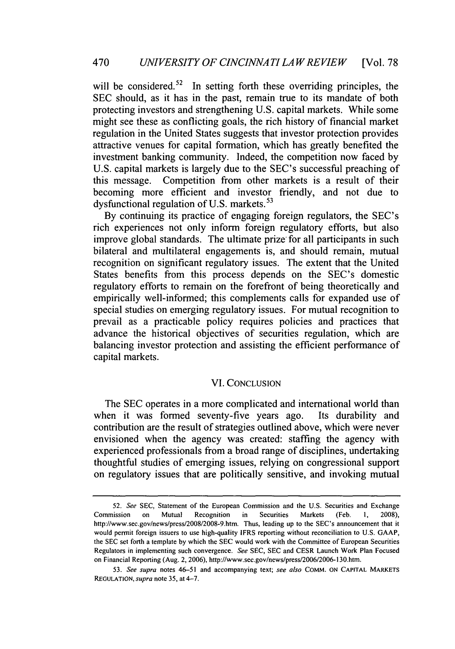will be considered.<sup>52</sup> In setting forth these overriding principles, the SEC should, as it has in the past, remain true to its mandate of both protecting investors and strengthening U.S. capital markets. While some might see these as conflicting goals, the rich history of financial market regulation in the United States suggests that investor protection provides attractive venues for capital formation, which has greatly benefited the investment banking community. Indeed, the competition now faced by U.S. capital markets is largely due to the SEC's successful preaching of this message. Competition from other markets is a result of their becoming more efficient and investor friendly, and not due to dysfunctional regulation of U.S. markets.<sup>53</sup>

By continuing its practice of engaging foreign regulators, the SEC's rich experiences not only inform foreign regulatory efforts, but also improve global standards. The ultimate prize for all participants in such bilateral and multilateral engagements is, and should remain, mutual recognition on significant regulatory issues. The extent that the United States benefits from this process depends on the SEC's domestic regulatory efforts to remain on the forefront of being theoretically and empirically well-informed; this complements calls for expanded use of special studies on emerging regulatory issues. For mutual recognition to prevail as a practicable policy requires policies and practices that advance the historical objectives of securities regulation, which are balancing investor protection and assisting the efficient performance of capital markets.

# VI. CONCLUSION

The SEC operates in a more complicated and international world than when it was formed seventy-five years ago. Its durability and contribution are the result of strategies outlined above, which were never envisioned when the agency was created: staffing the agency with experienced professionals from a broad range of disciplines, undertaking thoughtful studies of emerging issues, relying on congressional support on regulatory issues that are politically sensitive, and invoking mutual

<sup>52.</sup> *See* SEC, Statement of the European Commission and the U.S. Securities and Exchange Commission on Mutual Recognition in Securities Markets (Feb. 1, 2008), http://www.sec.gov/news/press/2008/2008-9.htm. Thus, leading up to the SEC's announcement that it would permit foreign issuers to use high-quality IFRS reporting without reconciliation to U.S. GAAP, the SEC set forth a template by which the SEC would work with the Committee of European Securities Regulators in implementing such convergence. *See* SEC, SEC and CESR Launch Work Plan Focused on Financial Reporting (Aug. 2, 2006), http://www.sec.gov/news/press/2006/2006-130.htm.

<sup>53.</sup> *See supra* notes 46-51 and accompanying text; *see also* COMM. ON **CAPITAL** MARKETS REGULATION, *supra* note 35, at 4-7.